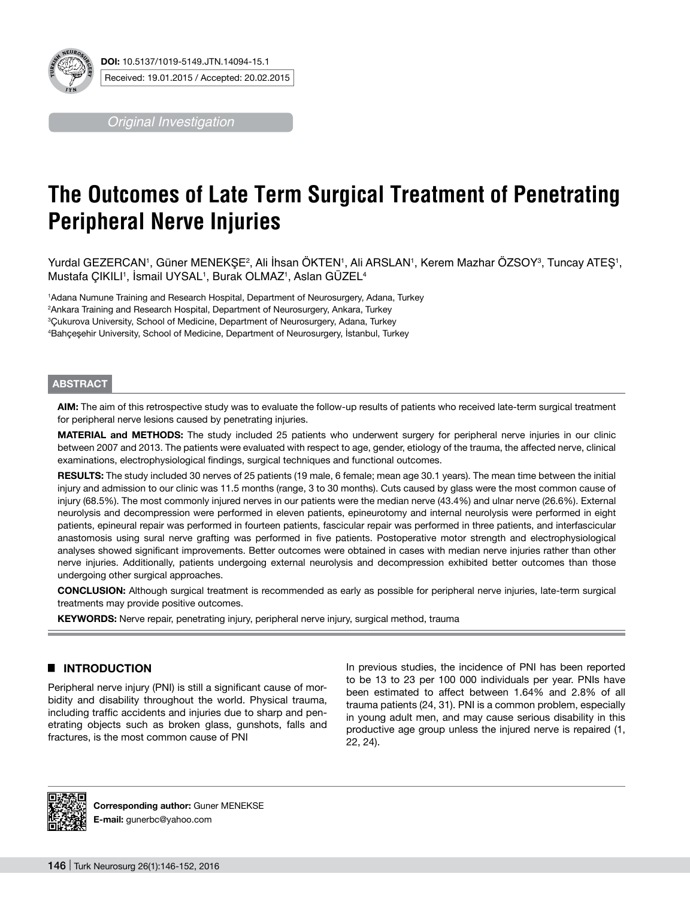

*Original Investigation*

# **The Outcomes of Late Term Surgical Treatment of Penetrating Peripheral Nerve Injuries**

Yurdal GEZERCAN', Güner MENEKŞE<sup>2</sup>, Ali Ihsan OKTEN', Ali ARSLAN', Kerem Mazhar OZSOY<sup>3</sup>, Tuncay ATEŞ', Mustafa ÇIKILI', Ismail UYSAL', Burak OLMAZ', Aslan GUZEL4

1 Adana Numune Training and Research Hospital, Department of Neurosurgery, Adana, Turkey 2 Ankara Training and Research Hospital, Department of Neurosurgery, Ankara, Turkey <sup>3</sup>Çukurova University, School of Medicine, Department of Neurosurgery, Adana, Turkey<br><sup>4</sup>Bahcesehir University, School of Medicine, Department of Neurosurgery, İstanbul, Turk Bahçeşehir University, School of Medicine, Department of Neurosurgery, İstanbul, Turkey

#### **ABSTRACT**

**AIm:** The aim of this retrospective study was to evaluate the follow-up results of patients who received late-term surgical treatment for peripheral nerve lesions caused by penetrating injuries.

**MATERIAL and METHODS:** The study included 25 patients who underwent surgery for peripheral nerve injuries in our clinic between 2007 and 2013. The patients were evaluated with respect to age, gender, etiology of the trauma, the affected nerve, clinical examinations, electrophysiological findings, surgical techniques and functional outcomes.

**RESULTS:** The study included 30 nerves of 25 patients (19 male, 6 female; mean age 30.1 years). The mean time between the initial injury and admission to our clinic was 11.5 months (range, 3 to 30 months). Cuts caused by glass were the most common cause of injury (68.5%). The most commonly injured nerves in our patients were the median nerve (43.4%) and ulnar nerve (26.6%). External neurolysis and decompression were performed in eleven patients, epineurotomy and internal neurolysis were performed in eight patients, epineural repair was performed in fourteen patients, fascicular repair was performed in three patients, and interfascicular anastomosis using sural nerve grafting was performed in five patients. Postoperative motor strength and electrophysiological analyses showed significant improvements. Better outcomes were obtained in cases with median nerve injuries rather than other nerve injuries. Additionally, patients undergoing external neurolysis and decompression exhibited better outcomes than those undergoing other surgical approaches.

**ConclusIon:** Although surgical treatment is recommended as early as possible for peripheral nerve injuries, late-term surgical treatments may provide positive outcomes.

KEYWORDS: Nerve repair, penetrating injury, peripheral nerve injury, surgical method, trauma

# █ **INTRODUCTION**

Peripheral nerve injury (PNI) is still a significant cause of morbidity and disability throughout the world. Physical trauma, including traffic accidents and injuries due to sharp and penetrating objects such as broken glass, gunshots, falls and fractures, is the most common cause of PNI

In previous studies, the incidence of PNI has been reported to be 13 to 23 per 100 000 individuals per year. PNIs have been estimated to affect between 1.64% and 2.8% of all trauma patients (24, 31). PNI is a common problem, especially in young adult men, and may cause serious disability in this productive age group unless the injured nerve is repaired (1, 22, 24).



**Corresponding author: Guner MENEKSE E-mail:** gunerbc@yahoo.com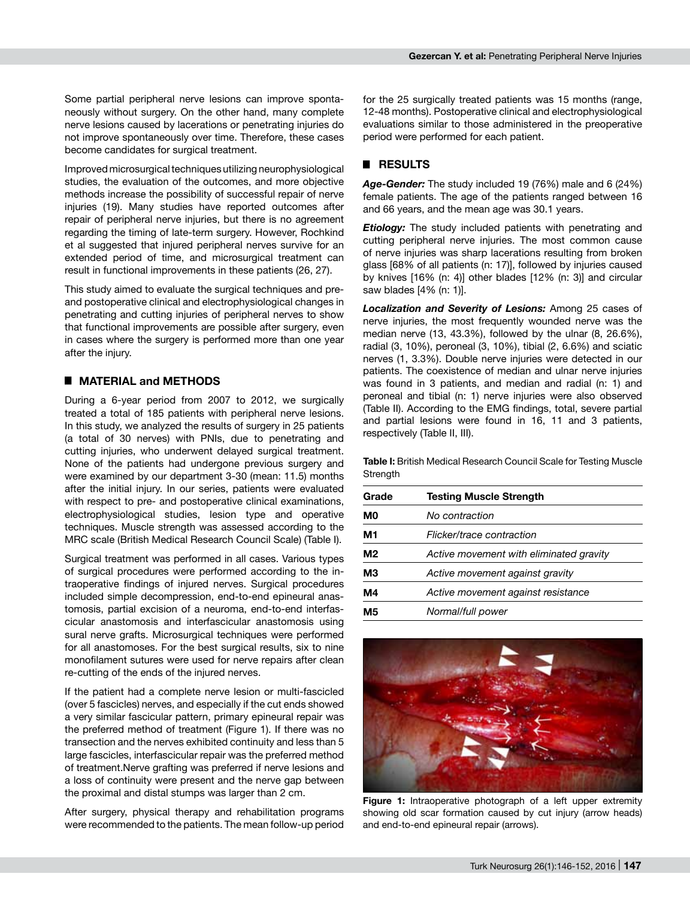Some partial peripheral nerve lesions can improve spontaneously without surgery. On the other hand, many complete nerve lesions caused by lacerations or penetrating injuries do not improve spontaneously over time. Therefore, these cases become candidates for surgical treatment.

Improved microsurgical techniques utilizing neurophysiological studies, the evaluation of the outcomes, and more objective methods increase the possibility of successful repair of nerve injuries (19). Many studies have reported outcomes after repair of peripheral nerve injuries, but there is no agreement regarding the timing of late-term surgery. However, Rochkind et al suggested that injured peripheral nerves survive for an extended period of time, and microsurgical treatment can result in functional improvements in these patients (26, 27).

This study aimed to evaluate the surgical techniques and preand postoperative clinical and electrophysiological changes in penetrating and cutting injuries of peripheral nerves to show that functional improvements are possible after surgery, even in cases where the surgery is performed more than one year after the injury.

#### █ **MATERIAL and METHODS**

During a 6-year period from 2007 to 2012, we surgically treated a total of 185 patients with peripheral nerve lesions. In this study, we analyzed the results of surgery in 25 patients (a total of 30 nerves) with PNIs, due to penetrating and cutting injuries, who underwent delayed surgical treatment. None of the patients had undergone previous surgery and were examined by our department 3-30 (mean: 11.5) months after the initial injury. In our series, patients were evaluated with respect to pre- and postoperative clinical examinations, electrophysiological studies, lesion type and operative techniques. Muscle strength was assessed according to the MRC scale (British Medical Research Council Scale) (Table I).

Surgical treatment was performed in all cases. Various types of surgical procedures were performed according to the intraoperative findings of injured nerves. Surgical procedures included simple decompression, end-to-end epineural anastomosis, partial excision of a neuroma, end-to-end interfascicular anastomosis and interfascicular anastomosis using sural nerve grafts. Microsurgical techniques were performed for all anastomoses. For the best surgical results, six to nine monofilament sutures were used for nerve repairs after clean re-cutting of the ends of the injured nerves.

If the patient had a complete nerve lesion or multi-fascicled (over 5 fascicles) nerves, and especially if the cut ends showed a very similar fascicular pattern, primary epineural repair was the preferred method of treatment (Figure 1). If there was no transection and the nerves exhibited continuity and less than 5 large fascicles, interfascicular repair was the preferred method of treatment.Nerve grafting was preferred if nerve lesions and a loss of continuity were present and the nerve gap between the proximal and distal stumps was larger than 2 cm.

After surgery, physical therapy and rehabilitation programs were recommended to the patients. The mean follow-up period for the 25 surgically treated patients was 15 months (range, 12-48 months). Postoperative clinical and electrophysiological evaluations similar to those administered in the preoperative period were performed for each patient.

#### █ **RESULTS**

*Age-Gender:* The study included 19 (76%) male and 6 (24%) female patients. The age of the patients ranged between 16 and 66 years, and the mean age was 30.1 years.

*Etiology:* The study included patients with penetrating and cutting peripheral nerve injuries. The most common cause of nerve injuries was sharp lacerations resulting from broken glass [68% of all patients (n: 17)], followed by injuries caused by knives [16% (n: 4)] other blades [12% (n: 3)] and circular saw blades [4% (n: 1)].

*Localization and Severity of Lesions:* Among 25 cases of nerve injuries, the most frequently wounded nerve was the median nerve (13, 43.3%), followed by the ulnar (8, 26.6%), radial (3, 10%), peroneal (3, 10%), tibial (2, 6.6%) and sciatic nerves (1, 3.3%). Double nerve injuries were detected in our patients. The coexistence of median and ulnar nerve injuries was found in 3 patients, and median and radial (n: 1) and peroneal and tibial (n: 1) nerve injuries were also observed (Table II). According to the EMG findings, total, severe partial and partial lesions were found in 16, 11 and 3 patients, respectively (Table II, III).

**Table I:** British Medical Research Council Scale for Testing Muscle **Strength** 

| Grade | <b>Testing Muscle Strength</b>          |
|-------|-----------------------------------------|
| M0    | No contraction                          |
| M1    | Flicker/trace contraction               |
| M2    | Active movement with eliminated gravity |
| ΜЗ    | Active movement against gravity         |
| M4    | Active movement against resistance      |
| М5    | Normal/full power                       |



Figure 1: Intraoperative photograph of a left upper extremity showing old scar formation caused by cut injury (arrow heads) and end-to-end epineural repair (arrows).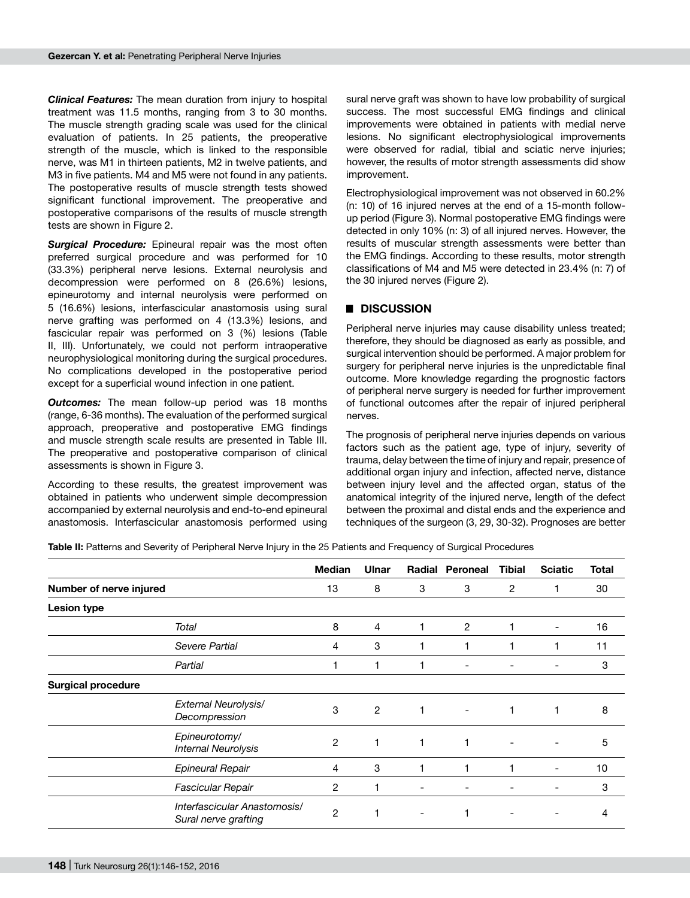*Clinical Features:* The mean duration from injury to hospital treatment was 11.5 months, ranging from 3 to 30 months. The muscle strength grading scale was used for the clinical evaluation of patients. In 25 patients, the preoperative strength of the muscle, which is linked to the responsible nerve, was M1 in thirteen patients, M2 in twelve patients, and M3 in five patients. M4 and M5 were not found in any patients. The postoperative results of muscle strength tests showed significant functional improvement. The preoperative and postoperative comparisons of the results of muscle strength tests are shown in Figure 2.

**Surgical Procedure:** Epineural repair was the most often preferred surgical procedure and was performed for 10 (33.3%) peripheral nerve lesions. External neurolysis and decompression were performed on 8 (26.6%) lesions, epineurotomy and internal neurolysis were performed on 5 (16.6%) lesions, interfascicular anastomosis using sural nerve grafting was performed on 4 (13.3%) lesions, and fascicular repair was performed on 3 (%) lesions (Table II, III). Unfortunately, we could not perform intraoperative neurophysiological monitoring during the surgical procedures. No complications developed in the postoperative period except for a superficial wound infection in one patient.

*Outcomes:* The mean follow-up period was 18 months (range, 6-36 months). The evaluation of the performed surgical approach, preoperative and postoperative EMG findings and muscle strength scale results are presented in Table III. The preoperative and postoperative comparison of clinical assessments is shown in Figure 3.

According to these results, the greatest improvement was obtained in patients who underwent simple decompression accompanied by external neurolysis and end-to-end epineural anastomosis. Interfascicular anastomosis performed using

sural nerve graft was shown to have low probability of surgical success. The most successful EMG findings and clinical improvements were obtained in patients with medial nerve lesions. No significant electrophysiological improvements were observed for radial, tibial and sciatic nerve injuries; however, the results of motor strength assessments did show improvement.

Electrophysiological improvement was not observed in 60.2% (n: 10) of 16 injured nerves at the end of a 15-month followup period (Figure 3). Normal postoperative EMG findings were detected in only 10% (n: 3) of all injured nerves. However, the results of muscular strength assessments were better than the EMG findings. According to these results, motor strength classifications of M4 and M5 were detected in 23.4% (n: 7) of the 30 injured nerves (Figure 2).

# █ **DISCUSSION**

Peripheral nerve injuries may cause disability unless treated; therefore, they should be diagnosed as early as possible, and surgical intervention should be performed. A major problem for surgery for peripheral nerve injuries is the unpredictable final outcome. More knowledge regarding the prognostic factors of peripheral nerve surgery is needed for further improvement of functional outcomes after the repair of injured peripheral nerves.

The prognosis of peripheral nerve injuries depends on various factors such as the patient age, type of injury, severity of trauma, delay between the time of injury and repair, presence of additional organ injury and infection, affected nerve, distance between injury level and the affected organ, status of the anatomical integrity of the injured nerve, length of the defect between the proximal and distal ends and the experience and techniques of the surgeon (3, 29, 30-32). Prognoses are better

**Table II:** Patterns and Severity of Peripheral Nerve Injury in the 25 Patients and Frequency of Surgical Procedures

|                           |                                                      | <b>Median</b>  | Ulnar          |                          | <b>Radial Peroneal</b>   | <b>Tibial</b>  | <b>Sciatic</b>           | <b>Total</b> |
|---------------------------|------------------------------------------------------|----------------|----------------|--------------------------|--------------------------|----------------|--------------------------|--------------|
| Number of nerve injured   |                                                      | 13             | 8              | 3                        | 3                        | $\overline{2}$ |                          | 30           |
| Lesion type               |                                                      |                |                |                          |                          |                |                          |              |
|                           | Total                                                | 8              | 4              | 1                        | $\overline{c}$           |                | -                        | 16           |
|                           | Severe Partial                                       | $\overline{4}$ | 3              | 1                        | 1                        | 1              |                          | 11           |
|                           | Partial                                              |                | 1              |                          |                          |                |                          | 3            |
| <b>Surgical procedure</b> |                                                      |                |                |                          |                          |                |                          |              |
|                           | External Neurolysis/<br>Decompression                | 3              | $\overline{2}$ | 1                        | $\overline{\phantom{a}}$ | 1              |                          | 8            |
|                           | Epineurotomy/<br><b>Internal Neurolysis</b>          | $\overline{2}$ | 1              | 1                        | 1                        |                |                          | 5            |
|                           | <b>Epineural Repair</b>                              | 4              | 3              |                          | 1                        | 1              | $\overline{\phantom{a}}$ | 10           |
|                           | Fascicular Repair                                    | $\overline{c}$ | 1              | -                        |                          |                | -                        | 3            |
|                           | Interfascicular Anastomosis/<br>Sural nerve grafting | $\overline{2}$ | 1              | $\overline{\phantom{a}}$ | 1                        |                |                          | 4            |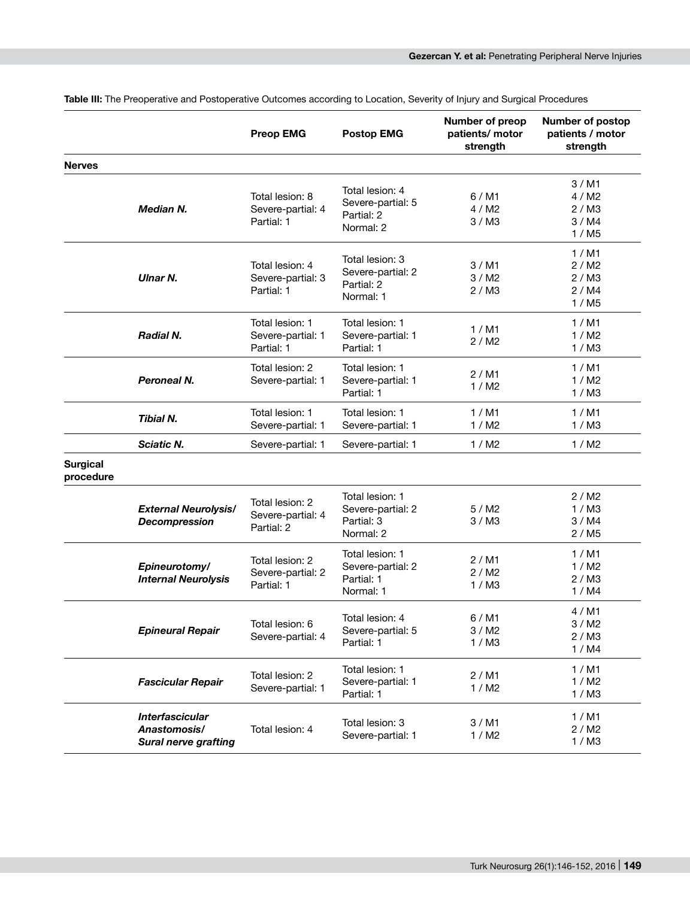|                              |                                                                       | <b>Preop EMG</b>                                   | <b>Postop EMG</b>                                               | Number of preop<br>patients/ motor<br>strength | <b>Number of postop</b><br>patients / motor<br>strength |
|------------------------------|-----------------------------------------------------------------------|----------------------------------------------------|-----------------------------------------------------------------|------------------------------------------------|---------------------------------------------------------|
| <b>Nerves</b>                |                                                                       |                                                    |                                                                 |                                                |                                                         |
|                              | <b>Median N.</b>                                                      | Total lesion: 8<br>Severe-partial: 4<br>Partial: 1 | Total lesion: 4<br>Severe-partial: 5<br>Partial: 2<br>Normal: 2 | 6/M1<br>4/M2<br>3/MA                           | $3/$ M1<br>4/M2<br>2/M3<br>3 / MA<br>1/MS               |
|                              | <b>Ulnar N.</b>                                                       | Total lesion: 4<br>Severe-partial: 3<br>Partial: 1 | Total lesion: 3<br>Severe-partial: 2<br>Partial: 2<br>Normal: 1 | 3/M1<br>3/M2<br>2/M3                           | 1/M1<br>2/M2<br>2 / M3<br>2 / MA<br>1/MS                |
|                              | Radial N.                                                             | Total lesion: 1<br>Severe-partial: 1<br>Partial: 1 | Total lesion: 1<br>Severe-partial: 1<br>Partial: 1              | 1/M1<br>2 / M2                                 | 1/M1<br>1/M2<br>1/M3                                    |
|                              | Peroneal N.                                                           | Total lesion: 2<br>Severe-partial: 1               | Total lesion: 1<br>Severe-partial: 1<br>Partial: 1              | 2/M1<br>1/M2                                   | 1/M1<br>1/M2<br>1/M3                                    |
|                              | Tibial N.                                                             | Total lesion: 1<br>Severe-partial: 1               | Total lesion: 1<br>Severe-partial: 1                            | 1/M1<br>1/M2                                   | 1/M1<br>1/M3                                            |
|                              | <b>Sciatic N.</b>                                                     | Severe-partial: 1                                  | Severe-partial: 1                                               | 1/M2                                           | 1/M2                                                    |
| <b>Surgical</b><br>procedure |                                                                       |                                                    |                                                                 |                                                |                                                         |
|                              | <b>External Neurolysis/</b><br><b>Decompression</b>                   | Total lesion: 2<br>Severe-partial: 4<br>Partial: 2 | Total lesion: 1<br>Severe-partial: 2<br>Partial: 3<br>Normal: 2 | 5/M2<br>3/MA                                   | 2/M2<br>1/M3<br>3/MA<br>2 / M5                          |
|                              | Epineurotomy/<br><b>Internal Neurolysis</b>                           | Total lesion: 2<br>Severe-partial: 2<br>Partial: 1 | Total lesion: 1<br>Severe-partial: 2<br>Partial: 1<br>Normal: 1 | 2/M1<br>2 / M2<br>1/M3                         | 1/M1<br>1/M2<br>2 / M3<br>1 / MA                        |
|                              | <b>Epineural Repair</b>                                               | Total lesion: 6<br>Severe-partial: 4               | Total lesion: 4<br>Severe-partial: 5<br>Partial: 1              | $6/$ M1<br>3/MA<br>1/M3                        | $4/$ M1<br>3 / M2<br>2 / M3<br>1/M4                     |
|                              | <b>Fascicular Repair</b>                                              | Total lesion: 2<br>Severe-partial: 1               | Total lesion: 1<br>Severe-partial: 1<br>Partial: 1              | $2/$ M1<br>1 / M2                              | 1/M1<br>1/M2<br>1/M3                                    |
|                              | <b>Interfascicular</b><br>Anastomosis/<br><b>Sural nerve grafting</b> | Total lesion: 4                                    | Total lesion: 3<br>Severe-partial: 1                            | $3/$ M1<br>1/M2                                | 1/M1<br>2 / M2<br>1 / M3                                |

**Table III:** The Preoperative and Postoperative Outcomes according to Location, Severity of Injury and Surgical Procedures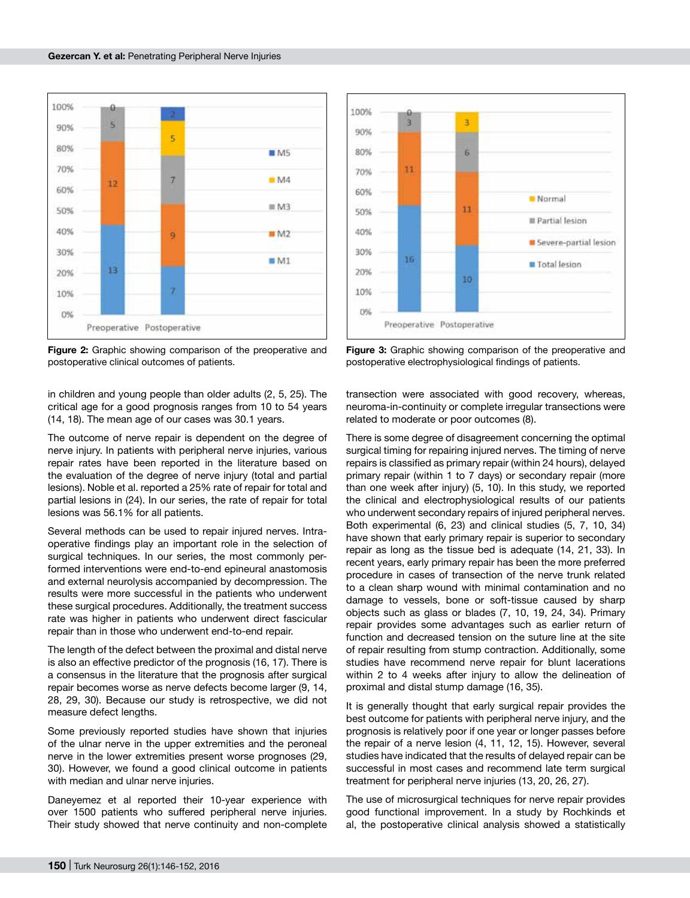

**Figure 2:** Graphic showing comparison of the preoperative and postoperative clinical outcomes of patients.

in children and young people than older adults (2, 5, 25). The critical age for a good prognosis ranges from 10 to 54 years (14, 18). The mean age of our cases was 30.1 years.

The outcome of nerve repair is dependent on the degree of nerve injury. In patients with peripheral nerve injuries, various repair rates have been reported in the literature based on the evaluation of the degree of nerve injury (total and partial lesions). Noble et al. reported a 25% rate of repair for total and partial lesions in (24). In our series, the rate of repair for total lesions was 56.1% for all patients.

Several methods can be used to repair injured nerves. Intraoperative findings play an important role in the selection of surgical techniques. In our series, the most commonly performed interventions were end-to-end epineural anastomosis and external neurolysis accompanied by decompression. The results were more successful in the patients who underwent these surgical procedures. Additionally, the treatment success rate was higher in patients who underwent direct fascicular repair than in those who underwent end-to-end repair.

The length of the defect between the proximal and distal nerve is also an effective predictor of the prognosis (16, 17). There is a consensus in the literature that the prognosis after surgical repair becomes worse as nerve defects become larger (9, 14, 28, 29, 30). Because our study is retrospective, we did not measure defect lengths.

Some previously reported studies have shown that injuries of the ulnar nerve in the upper extremities and the peroneal nerve in the lower extremities present worse prognoses (29, 30). However, we found a good clinical outcome in patients with median and ulnar nerve injuries.

Daneyemez et al reported their 10-year experience with over 1500 patients who suffered peripheral nerve injuries. Their study showed that nerve continuity and non-complete



**Figure 3:** Graphic showing comparison of the preoperative and postoperative electrophysiological findings of patients.

transection were associated with good recovery, whereas, neuroma-in-continuity or complete irregular transections were related to moderate or poor outcomes (8).

There is some degree of disagreement concerning the optimal surgical timing for repairing injured nerves. The timing of nerve repairs is classified as primary repair (within 24 hours), delayed primary repair (within 1 to 7 days) or secondary repair (more than one week after injury) (5, 10). In this study, we reported the clinical and electrophysiological results of our patients who underwent secondary repairs of injured peripheral nerves. Both experimental (6, 23) and clinical studies (5, 7, 10, 34) have shown that early primary repair is superior to secondary repair as long as the tissue bed is adequate (14, 21, 33). In recent years, early primary repair has been the more preferred procedure in cases of transection of the nerve trunk related to a clean sharp wound with minimal contamination and no damage to vessels, bone or soft-tissue caused by sharp objects such as glass or blades (7, 10, 19, 24, 34). Primary repair provides some advantages such as earlier return of function and decreased tension on the suture line at the site of repair resulting from stump contraction. Additionally, some studies have recommend nerve repair for blunt lacerations within 2 to 4 weeks after injury to allow the delineation of proximal and distal stump damage (16, 35).

It is generally thought that early surgical repair provides the best outcome for patients with peripheral nerve injury, and the prognosis is relatively poor if one year or longer passes before the repair of a nerve lesion (4, 11, 12, 15). However, several studies have indicated that the results of delayed repair can be successful in most cases and recommend late term surgical treatment for peripheral nerve injuries (13, 20, 26, 27).

The use of microsurgical techniques for nerve repair provides good functional improvement. In a study by Rochkinds et al, the postoperative clinical analysis showed a statistically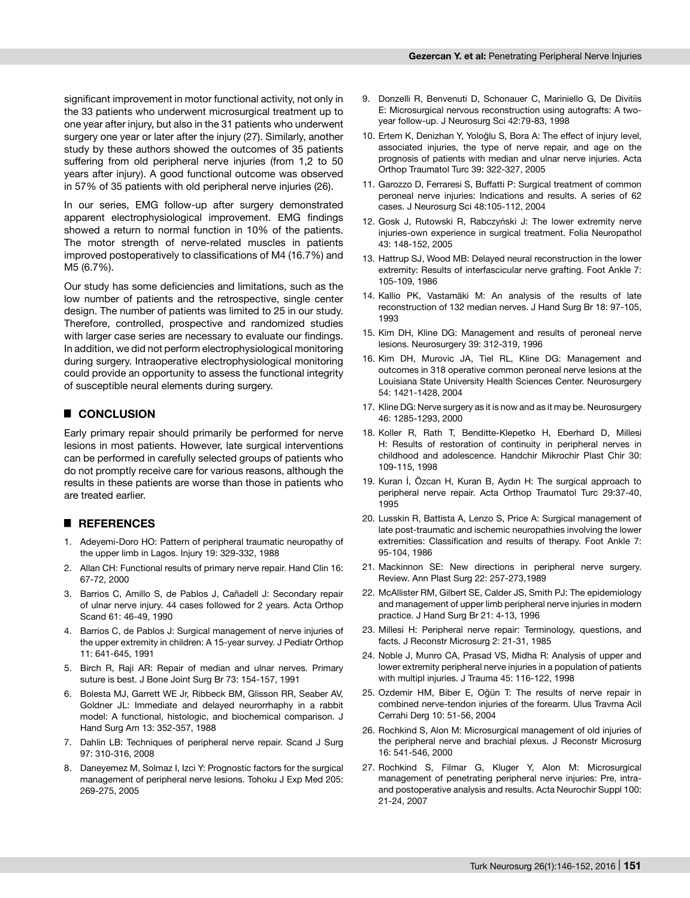significant improvement in motor functional activity, not only in the 33 patients who underwent microsurgical treatment up to one year after injury, but also in the 31 patients who underwent surgery one year or later after the injury (27). Similarly, another study by these authors showed the outcomes of 35 patients suffering from old peripheral nerve injuries (from 1.2 to 50 years after injury). A good functional outcome was observed in 57% of 35 patients with old peripheral nerve injuries (26).

In our series, EMG follow-up after surgery demonstrated apparent electrophysiological improvement. EMG findings showed a return to normal function in 10% of the patients. The motor strength of nerve-related muscles in patients improved postoperatively to classifications of M4 (16.7%) and M5 (6.7%).

Our study has some deficiencies and limitations, such as the low number of patients and the retrospective, single center design. The number of patients was limited to 25 in our study. Therefore, controlled, prospective and randomized studies with larger case series are necessary to evaluate our findings. In addition, we did not perform electrophysiological monitoring during surgery. Intraoperative electrophysiological monitoring could provide an opportunity to assess the functional integrity of susceptible neural elements during surgery.

### █ **CONCLUSION**

Early primary repair should primarily be performed for nerve lesions in most patients. However, late surgical interventions can be performed in carefully selected groups of patients who do not promptly receive care for various reasons, although the results in these patients are worse than those in patients who are treated earlier.

## █ **REFERENCES**

- 1. Adeyemi-Doro HO: Pattern of peripheral traumatic neuropathy of the upper limb in Lagos. Injury 19: 329-332, 1988
- 2. Allan CH: Functional results of primary nerve repair. Hand Clin 16: 67-72, 2000
- 3. Barrios C, Amillo S, de Pablos J, Cañadell J: Secondary repair of ulnar nerve injury. 44 cases followed for 2 years. Acta Orthop Scand 61: 46-49, 1990
- 4. Barrios C, de Pablos J: Surgical management of nerve injuries of the upper extremity in children: A 15-year survey. J Pediatr Orthop 11: 641-645, 1991
- 5. Birch R, Raji AR: Repair of median and ulnar nerves. Primary suture is best. J Bone Joint Surg Br 73: 154-157, 1991
- 6. Bolesta MJ, Garrett WE Jr, Ribbeck BM, Glisson RR, Seaber AV, Goldner JL: Immediate and delayed neurorrhaphy in a rabbit model: A functional, histologic, and biochemical comparison. J Hand Surg Am 13: 352-357, 1988
- 7. Dahlin LB: Techniques of peripheral nerve repair. Scand J Surg 97: 310-316, 2008
- 8. Daneyemez M, Solmaz I, Izci Y: Prognostic factors for the surgical management of peripheral nerve lesions. Tohoku J Exp Med 205: 269-275, 2005
- 9. Donzelli R, Benvenuti D, Schonauer C, Mariniello G, De Divitiis E: Microsurgical nervous reconstruction using autografts: A twoyear follow-up. J Neurosurg Sci 42:79-83, 1998
- 10. Ertem K, Denizhan Y, Yoloğlu S, Bora A: The effect of injury level, associated injuries, the type of nerve repair, and age on the prognosis of patients with median and ulnar nerve injuries. Acta Orthop Traumatol Turc 39: 322-327, 2005
- 11. Garozzo D, Ferraresi S, Buffatti P: Surgical treatment of common peroneal nerve injuries: Indications and results. A series of 62 cases. J Neurosurg Sci 48:105-112, 2004
- 12. Gosk J, Rutowski R, Rabczyński J: The lower extremity nerve injuries-own experience in surgical treatment. Folia Neuropathol 43: 148-152, 2005
- 13. Hattrup SJ, Wood MB: Delayed neural reconstruction in the lower extremity: Results of interfascicular nerve grafting. Foot Ankle 7: 105-109, 1986
- 14. Kallio PK, Vastamäki M: An analysis of the results of late reconstruction of 132 median nerves. J Hand Surg Br 18: 97-105, 1993
- 15. Kim DH, Kline DG: Management and results of peroneal nerve lesions. Neurosurgery 39: 312-319, 1996
- 16. Kim DH, Murovic JA, Tiel RL, Kline DG: Management and outcomes in 318 operative common peroneal nerve lesions at the Louisiana State University Health Sciences Center. Neurosurgery 54: 1421-1428, 2004
- 17. Kline DG: Nerve surgery as it is now and as it may be. Neurosurgery 46: 1285-1293, 2000
- 18. Koller R, Rath T, Benditte-Klepetko H, Eberhard D, Millesi H: Results of restoration of continuity in peripheral nerves in childhood and adolescence. Handchir Mikrochir Plast Chir 30: 109-115, 1998
- 19. Kuran İ, Özcan H, Kuran B, Aydın H: The surgical approach to peripheral nerve repair. Acta Orthop Traumatol Turc 29:37-40, 1995
- 20. Lusskin R, Battista A, Lenzo S, Price A: Surgical management of late post-traumatic and ischemic neuropathies involving the lower extremities: Classification and results of therapy. Foot Ankle 7: 95-104, 1986
- 21. Mackinnon SE: New directions in peripheral nerve surgery. Review. Ann Plast Surg 22: 257-273,1989
- 22. McAllister RM, Gilbert SE, Calder JS, Smith PJ: The epidemiology and management of upper limb peripheral nerve injuries in modern practice. J Hand Surg Br 21: 4-13, 1996
- 23. Millesi H: Peripheral nerve repair: Terminology, questions, and facts. J Reconstr Microsurg 2: 21-31, 1985
- 24. Noble J, Munro CA, Prasad VS, Midha R: Analysis of upper and lower extremity peripheral nerve injuries in a population of patients with multipl injuries. J Trauma 45: 116-122, 1998
- 25. Ozdemir HM, Biber E, Oğün T: The results of nerve repair in combined nerve-tendon injuries of the forearm. Ulus Travma Acil Cerrahi Derg 10: 51-56, 2004
- 26. Rochkind S, Alon M: Microsurgical management of old injuries of the peripheral nerve and brachial plexus. J Reconstr Microsurg 16: 541-546, 2000
- 27. Rochkind S, Filmar G, Kluger Y, Alon M: Microsurgical management of penetrating peripheral nerve injuries: Pre, intraand postoperative analysis and results. Acta Neurochir Suppl 100: 21-24, 2007